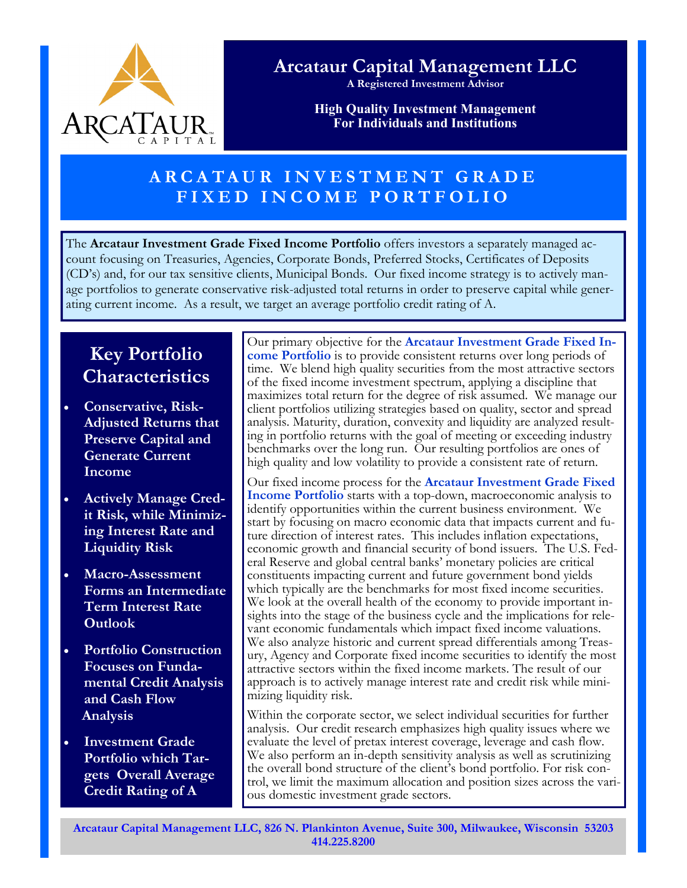

**Arcataur Capital Management LLC**

**A Registered Investment Advisor** 

**High Quality Investment Management For Individuals and Institutions** 

## **ARCATAUR INVESTMENT GRADE FIXED INCOME PORTFOLIO**

The **Arcataur Investment Grade Fixed Income Portfolio** offers investors a separately managed account focusing on Treasuries, Agencies, Corporate Bonds, Preferred Stocks, Certificates of Deposits (CD's) and, for our tax sensitive clients, Municipal Bonds. Our fixed income strategy is to actively manage portfolios to generate conservative risk-adjusted total returns in order to preserve capital while generating current income. As a result, we target an average portfolio credit rating of A.

# **Key Portfolio Characteristics**

- **Conservative, Risk-Adjusted Returns that Preserve Capital and Generate Current Income**
- **Actively Manage Credit Risk, while Minimizing Interest Rate and Liquidity Risk**
- **Macro-Assessment Forms an Intermediate Term Interest Rate Outlook**
- **Portfolio Construction Focuses on Fundamental Credit Analysis and Cash Flow Analysis**
- **Investment Grade Portfolio which Targets Overall Average Credit Rating of A**

Our primary objective for the **Arcataur Investment Grade Fixed Income Portfolio** is to provide consistent returns over long periods of time. We blend high quality securities from the most attractive sectors of the fixed income investment spectrum, applying a discipline that maximizes total return for the degree of risk assumed. We manage our client portfolios utilizing strategies based on quality, sector and spread analysis. Maturity, duration, convexity and liquidity are analyzed resulting in portfolio returns with the goal of meeting or exceeding industry benchmarks over the long run. Our resulting portfolios are ones of high quality and low volatility to provide a consistent rate of return.

Our fixed income process for the **Arcataur Investment Grade Fixed Income Portfolio** starts with a top-down, macroeconomic analysis to identify opportunities within the current business environment. We start by focusing on macro economic data that impacts current and future direction of interest rates. This includes inflation expectations, economic growth and financial security of bond issuers. The U.S. Federal Reserve and global central banks' monetary policies are critical constituents impacting current and future government bond yields which typically are the benchmarks for most fixed income securities. We look at the overall health of the economy to provide important insights into the stage of the business cycle and the implications for relevant economic fundamentals which impact fixed income valuations. We also analyze historic and current spread differentials among Treasury, Agency and Corporate fixed income securities to identify the most attractive sectors within the fixed income markets. The result of our approach is to actively manage interest rate and credit risk while minimizing liquidity risk.

Within the corporate sector, we select individual securities for further analysis. Our credit research emphasizes high quality issues where we evaluate the level of pretax interest coverage, leverage and cash flow. We also perform an in-depth sensitivity analysis as well as scrutinizing the overall bond structure of the client's bond portfolio. For risk control, we limit the maximum allocation and position sizes across the various domestic investment grade sectors.